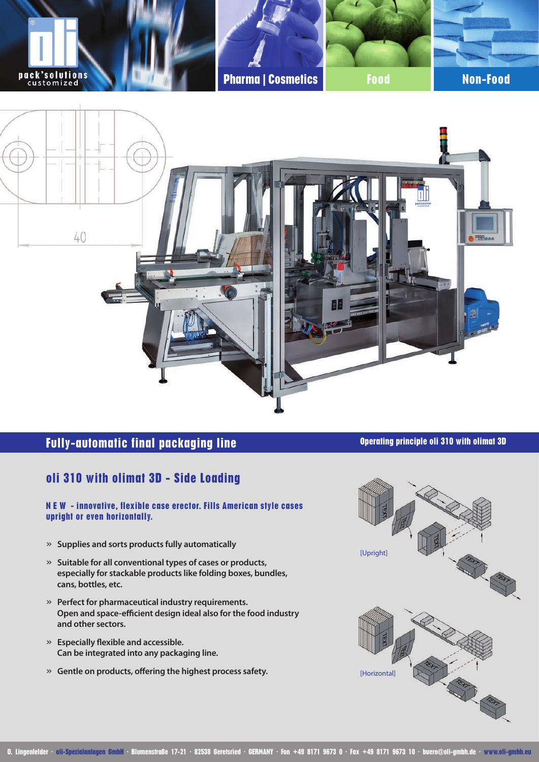

# **Fully-automatic final packaging line Operating principle oli 310 with olimat 3D**

## **oli 310 with olimat 3D - Side Loading**

**N E W - innovative, flexible case erector. Fills American style cases upright or even horizontally.** 

- » **Supplies and sorts products fully automatically**
- » **Suitable for all conventional types of cases or products, especially for stackable products like folding boxes, bundles, cans, bottles, etc.**
- » **Perfect for pharmaceutical industry requirements. Open and space-efficient design ideal also for the food industry and other sectors.**
- » **Especially flexible and accessible. Can be integrated into any packaging line.**
- » **Gentle on products, offering the highest process safety.**